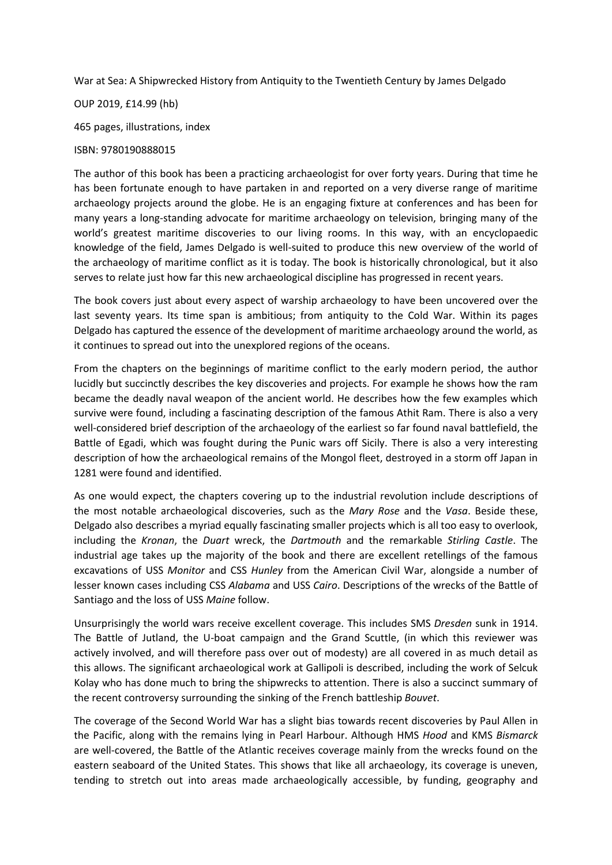War at Sea: A Shipwrecked History from Antiquity to the Twentieth Century by James Delgado

OUP 2019, £14.99 (hb)

465 pages, illustrations, index

## ISBN: 9780190888015

The author of this book has been a practicing archaeologist for over forty years. During that time he has been fortunate enough to have partaken in and reported on a very diverse range of maritime archaeology projects around the globe. He is an engaging fixture at conferences and has been for many years a long-standing advocate for maritime archaeology on television, bringing many of the world's greatest maritime discoveries to our living rooms. In this way, with an encyclopaedic knowledge of the field, James Delgado is well-suited to produce this new overview of the world of the archaeology of maritime conflict as it is today. The book is historically chronological, but it also serves to relate just how far this new archaeological discipline has progressed in recent years.

The book covers just about every aspect of warship archaeology to have been uncovered over the last seventy years. Its time span is ambitious; from antiquity to the Cold War. Within its pages Delgado has captured the essence of the development of maritime archaeology around the world, as it continues to spread out into the unexplored regions of the oceans.

From the chapters on the beginnings of maritime conflict to the early modern period, the author lucidly but succinctly describes the key discoveries and projects. For example he shows how the ram became the deadly naval weapon of the ancient world. He describes how the few examples which survive were found, including a fascinating description of the famous Athit Ram. There is also a very well-considered brief description of the archaeology of the earliest so far found naval battlefield, the Battle of Egadi, which was fought during the Punic wars off Sicily. There is also a very interesting description of how the archaeological remains of the Mongol fleet, destroyed in a storm off Japan in 1281 were found and identified.

As one would expect, the chapters covering up to the industrial revolution include descriptions of the most notable archaeological discoveries, such as the *Mary Rose* and the *Vasa*. Beside these, Delgado also describes a myriad equally fascinating smaller projects which is all too easy to overlook, including the *Kronan*, the *Duart* wreck, the *Dartmouth* and the remarkable *Stirling Castle*. The industrial age takes up the majority of the book and there are excellent retellings of the famous excavations of USS *Monitor* and CSS *Hunley* from the American Civil War, alongside a number of lesser known cases including CSS *Alabama* and USS *Cairo*. Descriptions of the wrecks of the Battle of Santiago and the loss of USS *Maine* follow.

Unsurprisingly the world wars receive excellent coverage. This includes SMS *Dresden* sunk in 1914. The Battle of Jutland, the U-boat campaign and the Grand Scuttle, (in which this reviewer was actively involved, and will therefore pass over out of modesty) are all covered in as much detail as this allows. The significant archaeological work at Gallipoli is described, including the work of Selcuk Kolay who has done much to bring the shipwrecks to attention. There is also a succinct summary of the recent controversy surrounding the sinking of the French battleship *Bouvet*.

The coverage of the Second World War has a slight bias towards recent discoveries by Paul Allen in the Pacific, along with the remains lying in Pearl Harbour. Although HMS *Hood* and KMS *Bismarck* are well-covered, the Battle of the Atlantic receives coverage mainly from the wrecks found on the eastern seaboard of the United States. This shows that like all archaeology, its coverage is uneven, tending to stretch out into areas made archaeologically accessible, by funding, geography and